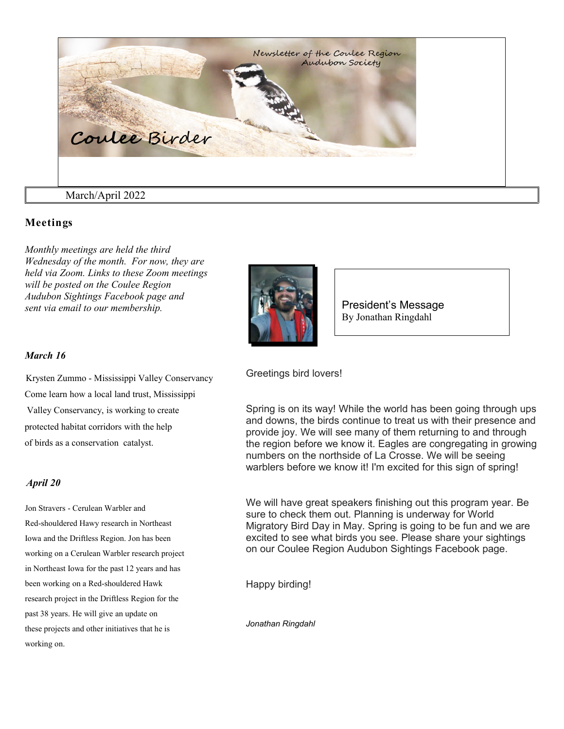

## **Meetings**

*Monthly meetings are held the third Wednesday of the month. For now, they are held via Zoom. Links to these Zoom meetings will be posted on the Coulee Region Audubon Sightings Facebook page and sent via email to our membership.*



President's Message By Jonathan Ringdahl

#### *March 16*

 Krysten Zummo - Mississippi Valley Conservancy Come learn how a local land trust, Mississippi Valley Conservancy, is working to create protected habitat corridors with the help of birds as a conservation catalyst.

#### *April 20*

Jon Stravers - Cerulean Warbler and Red-shouldered Hawy research in Northeast Iowa and the Driftless Region. Jon has been working on a Cerulean Warbler research project in Northeast Iowa for the past 12 years and has been working on a Red-shouldered Hawk research project in the Driftless Region for the past 38 years. He will give an update on these projects and other initiatives that he is working on.

Greetings bird lovers!

Spring is on its way! While the world has been going through ups and downs, the birds continue to treat us with their presence and provide joy. We will see many of them returning to and through the region before we know it. Eagles are congregating in growing numbers on the northside of La Crosse. We will be seeing warblers before we know it! I'm excited for this sign of spring!

We will have great speakers finishing out this program year. Be sure to check them out. Planning is underway for World Migratory Bird Day in May. Spring is going to be fun and we are excited to see what birds you see. Please share your sightings on our Coulee Region Audubon Sightings Facebook page.

Happy birding!

*Jonathan Ringdahl*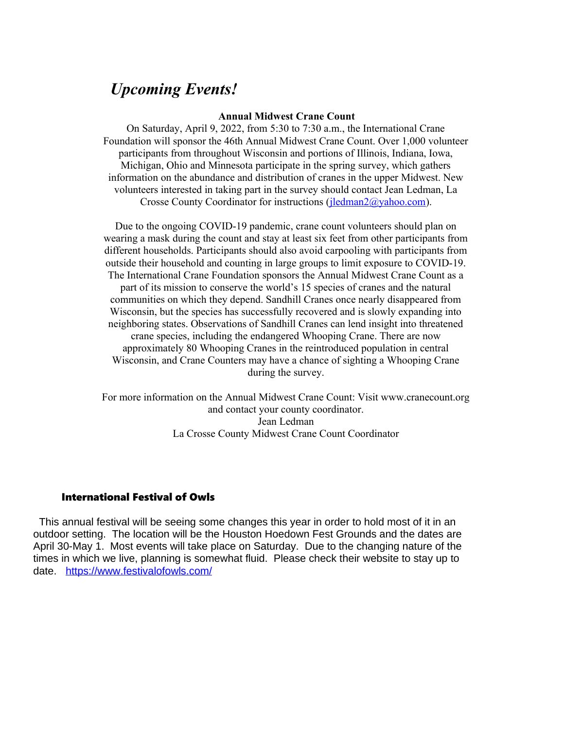# *Upcoming Events!*

#### **Annual Midwest Crane Count**

On Saturday, April 9, 2022, from 5:30 to 7:30 a.m., the International Crane Foundation will sponsor the 46th Annual Midwest Crane Count. Over 1,000 volunteer participants from throughout Wisconsin and portions of Illinois, Indiana, Iowa, Michigan, Ohio and Minnesota participate in the spring survey, which gathers information on the abundance and distribution of cranes in the upper Midwest. New volunteers interested in taking part in the survey should contact Jean Ledman, La Crosse County Coordinator for instructions [\(jledman2@yahoo.com\)](mailto:jledman2@yahoo.com).

Due to the ongoing COVID-19 pandemic, crane count volunteers should plan on wearing a mask during the count and stay at least six feet from other participants from different households. Participants should also avoid carpooling with participants from outside their household and counting in large groups to limit exposure to COVID-19. The International Crane Foundation sponsors the Annual Midwest Crane Count as a part of its mission to conserve the world's 15 species of cranes and the natural communities on which they depend. Sandhill Cranes once nearly disappeared from Wisconsin, but the species has successfully recovered and is slowly expanding into neighboring states. Observations of Sandhill Cranes can lend insight into threatened crane species, including the endangered Whooping Crane. There are now approximately 80 Whooping Cranes in the reintroduced population in central Wisconsin, and Crane Counters may have a chance of sighting a Whooping Crane during the survey.

For more information on the Annual Midwest Crane Count: Visit www.cranecount.org and contact your county coordinator. Jean Ledman La Crosse County Midwest Crane Count Coordinator

## International Festival of Owls

 This annual festival will be seeing some changes this year in order to hold most of it in an outdoor setting. The location will be the Houston Hoedown Fest Grounds and the dates are April 30-May 1. Most events will take place on Saturday. Due to the changing nature of the times in which we live, planning is somewhat fluid. Please check their website to stay up to date. <https://www.festivalofowls.com/>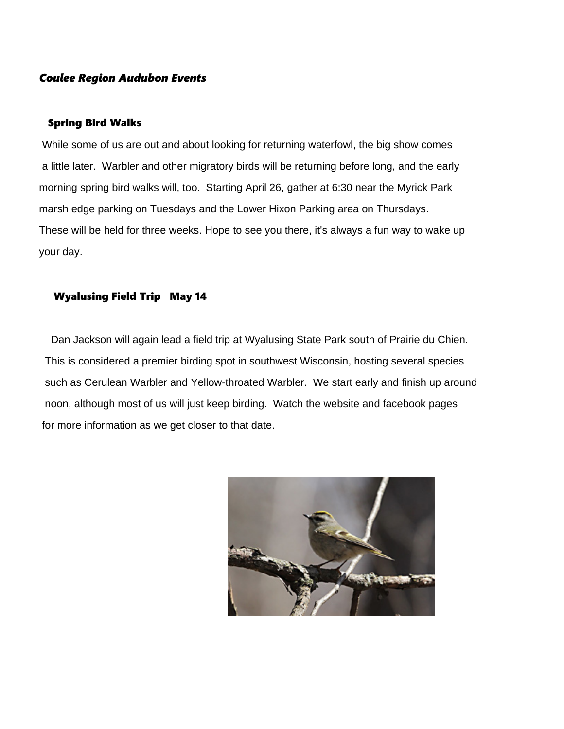## *Coulee Region Audubon Events*

### Spring Bird Walks

 While some of us are out and about looking for returning waterfowl, the big show comes a little later. Warbler and other migratory birds will be returning before long, and the early morning spring bird walks will, too. Starting April 26, gather at 6:30 near the Myrick Park marsh edge parking on Tuesdays and the Lower Hixon Parking area on Thursdays. These will be held for three weeks. Hope to see you there, it's always a fun way to wake up your day.

## Wyalusing Field Trip May 14

 Dan Jackson will again lead a field trip at Wyalusing State Park south of Prairie du Chien. This is considered a premier birding spot in southwest Wisconsin, hosting several species such as Cerulean Warbler and Yellow-throated Warbler. We start early and finish up around noon, although most of us will just keep birding. Watch the website and facebook pages for more information as we get closer to that date.